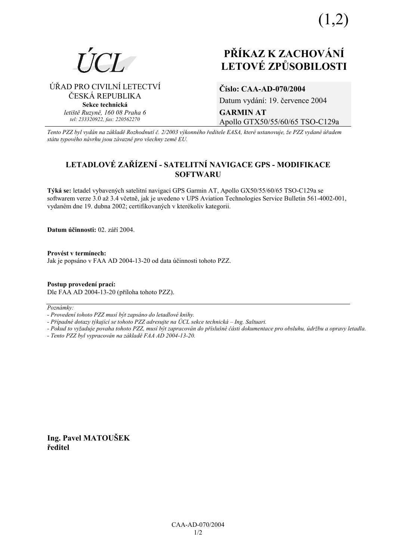(1,2)



# **PŘÍKAZ K ZACHOVÁNÍ LETOV… ZPŮSOBILOSTI**

⁄ŘAD PRO CIVILNÕ LETECTVÕ ČESKÁ REPUBLIKA **Sekce technická** *letiötě Ruzyně, 160 08 Praha 6 tel: 233320922, fax: 220562270*

# **ČÌslo: CAA-AD-070/2004**  Datum vydání: 19. července 2004 **GARMIN AT**  Apollo GTX50/55/60/65 TSO-C129a

*Tento PZZ byl vyd·n na z·kladě RozhodnutÌ č. 2/2003 v˝konnÈho ředitele EASA, kterÈ ustanovuje, ûe PZZ vydanÈ ˙řadem st·tu typovÈho n·vrhu jsou z·vaznÈ pro vöechny země EU.*

# LETADLOVÉ ZAŘÍZENÍ - SATELITNÍ NAVIGACE GPS - MODIFIKACE **SOFTWARU**

Týká se: letadel vybavených satelitní navigací GPS Garmin AT, Apollo GX50/55/60/65 TSO-C129a se softwarem verze 3.0 až 3.4 včetně, jak je uvedeno v UPS Aviation Technologies Service Bulletin 561-4002-001, vydaném dne 19. dubna 2002; certifikovaných v kterékoliv kategorii.

**Datum účinnosti:** 02. září 2004.

**ProvÈst v termÌnech:**  Jak je popsáno v FAA AD 2004-13-20 od data účinnosti tohoto PZZ.

**Postup provedenÌ pracÌ:**  Dle FAA AD 2004-13-20 (příloha tohoto PZZ).

Poznámky:

*- ProvedenÌ tohoto PZZ musÌ b˝t zaps·no do letadlovÈ knihy.* 

- Případné dotazy týkající se tohoto PZZ adresujte na ÚCL sekce technická – Ing. Saltuari.

*- Pokud to vyûaduje povaha tohoto PZZ, musÌ b˝t zapracov·n do přÌsluönÈ č·sti dokumentace pro obsluhu, ˙drûbu a opravy letadla.* 

*- Tento PZZ byl vypracov·n na z·kladě FAA AD 2004-13-20.* 

**Ing. Pavel MATOUäEK ředitel**